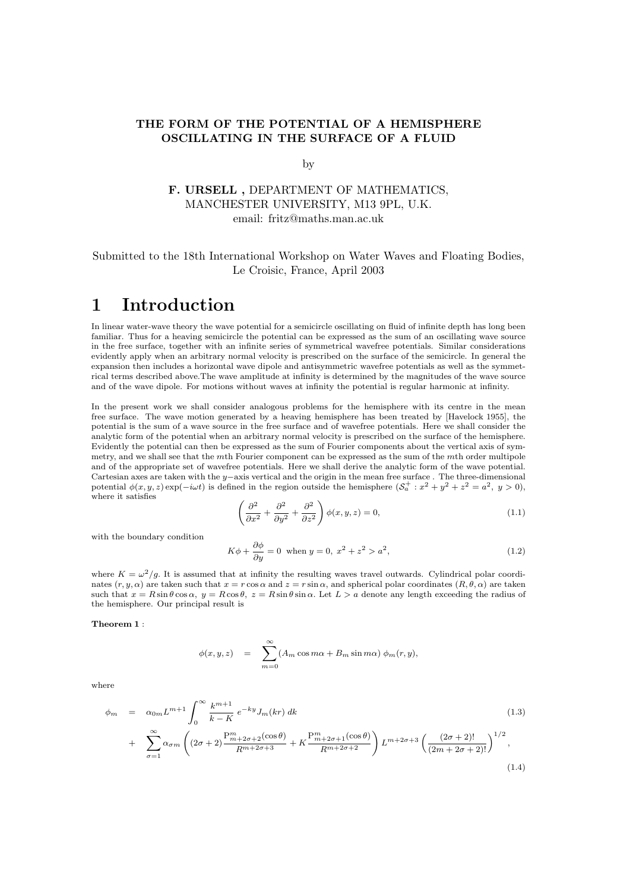### THE FORM OF THE POTENTIAL OF A HEMISPHERE OSCILLATING IN THE SURFACE OF A FLUID

#### by

### F. URSELL , DEPARTMENT OF MATHEMATICS, MANCHESTER UNIVERSITY, M13 9PL, U.K. email: fritz@maths.man.ac.uk

### Submitted to the 18th International Workshop on Water Waves and Floating Bodies, Le Croisic, France, April 2003

## 1 Introduction

In linear water-wave theory the wave potential for a semicircle oscillating on fluid of infinite depth has long been familiar. Thus for a heaving semicircle the potential can be expressed as the sum of an oscillating wave source in the free surface, together with an infinite series of symmetrical wavefree potentials. Similar considerations evidently apply when an arbitrary normal velocity is prescribed on the surface of the semicircle. In general the expansion then includes a horizontal wave dipole and antisymmetric wavefree potentials as well as the symmetrical terms described above.The wave amplitude at infinity is determined by the magnitudes of the wave source and of the wave dipole. For motions without waves at infinity the potential is regular harmonic at infinity.

In the present work we shall consider analogous problems for the hemisphere with its centre in the mean free surface. The wave motion generated by a heaving hemisphere has been treated by [Havelock 1955], the potential is the sum of a wave source in the free surface and of wavefree potentials. Here we shall consider the analytic form of the potential when an arbitrary normal velocity is prescribed on the surface of the hemisphere. Evidently the potential can then be expressed as the sum of Fourier components about the vertical axis of symmetry, and we shall see that the mth Fourier component can be expressed as the sum of the mth order multipole and of the appropriate set of wavefree potentials. Here we shall derive the analytic form of the wave potential. Cartesian axes are taken with the y−axis vertical and the origin in the mean free surface . The three-dimensional potential  $\phi(x, y, z) \exp(-i\omega t)$  is defined in the region outside the hemisphere  $(\mathcal{S}_a^+ : x^2 + y^2 + z^2 = a^2, y > 0)$ , where it satisfies

$$
\left(\frac{\partial^2}{\partial x^2} + \frac{\partial^2}{\partial y^2} + \frac{\partial^2}{\partial z^2}\right)\phi(x, y, z) = 0,
$$
\n(1.1)

with the boundary condition

$$
K\phi + \frac{\partial \phi}{\partial y} = 0 \text{ when } y = 0, \ x^2 + z^2 > a^2,
$$
\n(1.2)

where  $K = \omega^2/g$ . It is assumed that at infinity the resulting waves travel outwards. Cylindrical polar coordinates  $(r, y, \alpha)$  are taken such that  $x = r \cos \alpha$  and  $z = r \sin \alpha$ , and spherical polar coordinates  $(R, \theta, \alpha)$  are taken such that  $x = R \sin \theta \cos \alpha$ ,  $y = R \cos \theta$ ,  $z = R \sin \theta \sin \alpha$ . Let  $L > a$  denote any length exceeding the radius of the hemisphere. Our principal result is

#### Theorem 1 :

$$
\phi(x, y, z) = \sum_{m=0}^{\infty} (A_m \cos m\alpha + B_m \sin m\alpha) \phi_m(r, y),
$$

where

$$
\phi_m = \alpha_{0m} L^{m+1} \int_0^\infty \frac{k^{m+1}}{k - K} e^{-ky} J_m(kr) dk \qquad (1.3)
$$
  
+ 
$$
\sum_{\sigma=1}^\infty \alpha_{\sigma m} \left( (2\sigma + 2) \frac{P_{m+2\sigma+2}^m(\cos \theta)}{R^{m+2\sigma+3}} + K \frac{P_{m+2\sigma+1}^m(\cos \theta)}{R^{m+2\sigma+2}} \right) L^{m+2\sigma+3} \left( \frac{(2\sigma + 2)!}{(2m + 2\sigma + 2)!} \right)^{1/2}, \qquad (1.4)
$$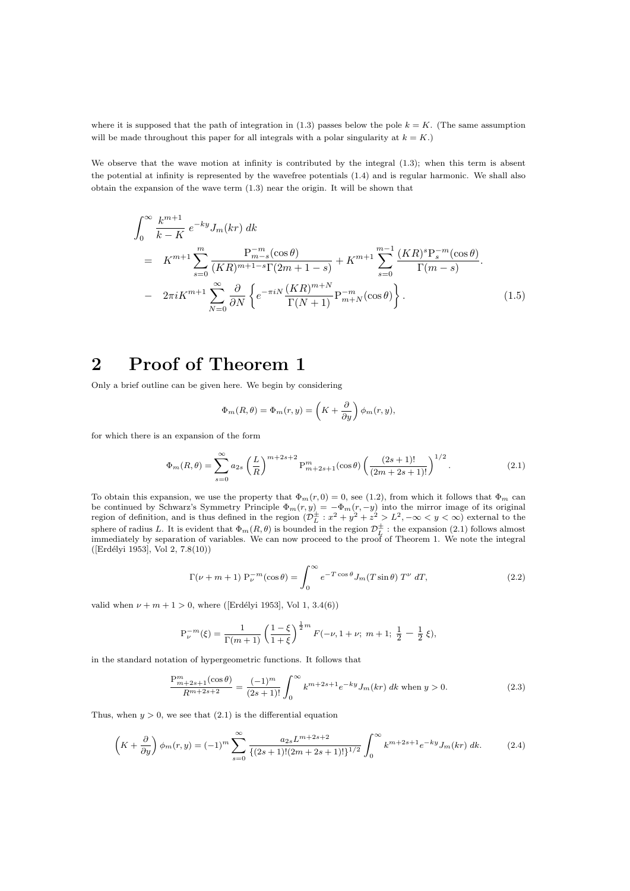where it is supposed that the path of integration in (1.3) passes below the pole  $k = K$ . (The same assumption will be made throughout this paper for all integrals with a polar singularity at  $k = K$ .)

We observe that the wave motion at infinity is contributed by the integral  $(1.3)$ ; when this term is absent the potential at infinity is represented by the wavefree potentials (1.4) and is regular harmonic. We shall also obtain the expansion of the wave term (1.3) near the origin. It will be shown that

$$
\int_{0}^{\infty} \frac{k^{m+1}}{k-K} e^{-ky} J_{m}(kr) dk
$$
\n
$$
= K^{m+1} \sum_{s=0}^{m} \frac{P_{m-s}^{-m}(\cos \theta)}{(KR)^{m+1-s} \Gamma(2m+1-s)} + K^{m+1} \sum_{s=0}^{m-1} \frac{(KR)^{s} P_{s}^{-m}(\cos \theta)}{\Gamma(m-s)}.
$$
\n
$$
- 2\pi i K^{m+1} \sum_{N=0}^{\infty} \frac{\partial}{\partial N} \left\{ e^{-\pi i N} \frac{(KR)^{m+N}}{\Gamma(N+1)} P_{m+N}^{-m}(\cos \theta) \right\}.
$$
\n(1.5)

# 2 Proof of Theorem 1

Only a brief outline can be given here. We begin by considering

$$
\Phi_m(R,\theta) = \Phi_m(r,y) = \left(K + \frac{\partial}{\partial y}\right)\phi_m(r,y),
$$

for which there is an expansion of the form

$$
\Phi_m(R,\theta) = \sum_{s=0}^{\infty} a_{2s} \left(\frac{L}{R}\right)^{m+2s+2} P_{m+2s+1}^m(\cos\theta) \left(\frac{(2s+1)!}{(2m+2s+1)!}\right)^{1/2}.
$$
\n(2.1)

To obtain this expansion, we use the property that  $\Phi_m(r, 0) = 0$ , see (1.2), from which it follows that  $\Phi_m$  can be continued by Schwarz's Symmetry Principle  $\Phi_m(r, y) = -\Phi_m(r, -y)$  into the mirror image of its original region of definition, and is thus defined in the region  $(\mathcal{D}_{L}^{\pm}: x^{2} + y^{2} + z^{2} > L^{2}, -\infty < y < \infty)$  external to the sphere of radius L. It is evident that  $\Phi_m(R,\theta)$  is bounded in the region  $\mathcal{D}_L^{\pm}$  : the expansion (2.1) follows almost immediately by separation of variables. We can now proceed to the proof of Theorem 1. We note the integral  $([Erdélyi 1953], Vol 2, 7.8(10))$ 

$$
\Gamma(\nu + m + 1) P_{\nu}^{-m}(\cos \theta) = \int_0^{\infty} e^{-T \cos \theta} J_m(T \sin \theta) T^{\nu} dT,
$$
\n(2.2)

valid when  $\nu + m + 1 > 0$ , where ([Erdélyi 1953], Vol 1, 3.4(6))

$$
P_{\nu}^{-m}(\xi) = \frac{1}{\Gamma(m+1)} \left( \frac{1-\xi}{1+\xi} \right)^{\frac{1}{2}m} F(-\nu, 1+\nu; m+1; \frac{1}{2} - \frac{1}{2} \xi),
$$

in the standard notation of hypergeometric functions. It follows that

$$
\frac{P_{m+2s+1}^{m}(\cos\theta)}{R^{m+2s+2}} = \frac{(-1)^{m}}{(2s+1)!} \int_{0}^{\infty} k^{m+2s+1} e^{-ky} J_{m}(kr) \, dk \text{ when } y > 0. \tag{2.3}
$$

Thus, when  $y > 0$ , we see that  $(2.1)$  is the differential equation

$$
\left(K + \frac{\partial}{\partial y}\right)\phi_m(r, y) = (-1)^m \sum_{s=0}^{\infty} \frac{a_{2s} L^{m+2s+2}}{\{(2s+1)!(2m+2s+1)!\}^{1/2}} \int_0^{\infty} k^{m+2s+1} e^{-ky} J_m(kr) \, dk. \tag{2.4}
$$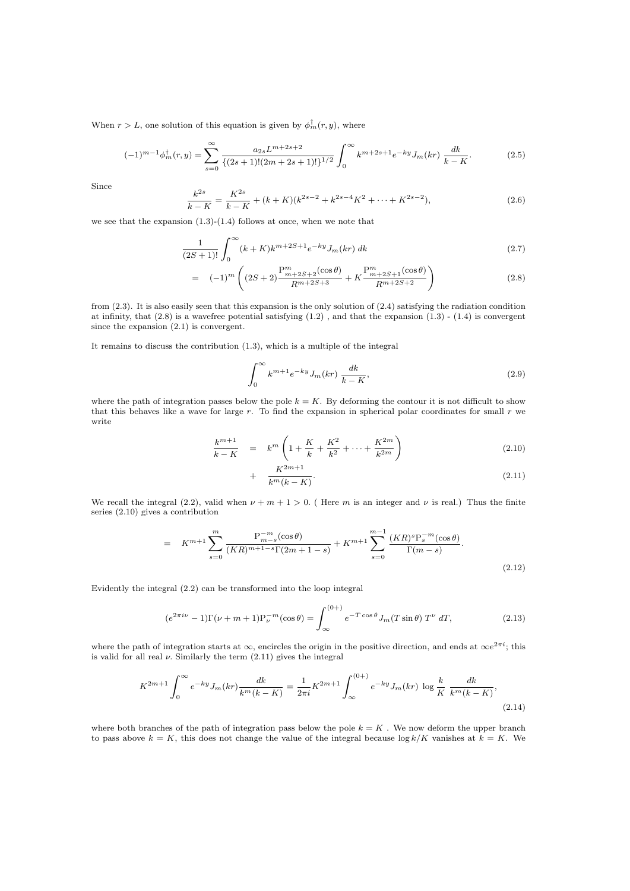When  $r > L$ , one solution of this equation is given by  $\phi_m^{\dagger}(r, y)$ , where

$$
(-1)^{m-1}\phi_m^{\dagger}(r,y) = \sum_{s=0}^{\infty} \frac{a_{2s}L^{m+2s+2}}{\{(2s+1)!(2m+2s+1)!\}^{1/2}} \int_0^{\infty} k^{m+2s+1} e^{-ky} J_m(kr) \frac{dk}{k-K}.
$$
 (2.5)

Since

$$
\frac{k^{2s}}{k-K} = \frac{K^{2s}}{k-K} + (k+K)(k^{2s-2} + k^{2s-4}K^2 + \dots + K^{2s-2}),\tag{2.6}
$$

we see that the expansion  $(1.3)-(1.4)$  follows at once, when we note that

$$
\frac{1}{(2S+1)!} \int_0^\infty (k+K)k^{m+2S+1} e^{-ky} J_m(kr) \, dk \tag{2.7}
$$

$$
= (-1)^m \left( (2S+2) \frac{P_{m+2S+2}^m(\cos \theta)}{R^{m+2S+3}} + K \frac{P_{m+2S+1}^m(\cos \theta)}{R^{m+2S+2}} \right) \tag{2.8}
$$

from (2.3). It is also easily seen that this expansion is the only solution of (2.4) satisfying the radiation condition at infinity, that  $(2.8)$  is a wavefree potential satisfying  $(1.2)$ , and that the expansion  $(1.3)$  -  $(1.4)$  is convergent since the expansion (2.1) is convergent.

It remains to discuss the contribution (1.3), which is a multiple of the integral

$$
\int_0^\infty k^{m+1} e^{-ky} J_m(kr) \frac{dk}{k-K},\tag{2.9}
$$

where the path of integration passes below the pole  $k = K$ . By deforming the contour it is not difficult to show that this behaves like a wave for large  $r$ . To find the expansion in spherical polar coordinates for small  $r$  we write

$$
\frac{k^{m+1}}{k-K} = k^m \left( 1 + \frac{K}{k} + \frac{K^2}{k^2} + \dots + \frac{K^{2m}}{k^{2m}} \right)
$$
\n(2.10)

$$
+\frac{K^{2m+1}}{k^m(k-K)}.\tag{2.11}
$$

We recall the integral (2.2), valid when  $\nu + m + 1 > 0$ . (Here m is an integer and  $\nu$  is real.) Thus the finite series (2.10) gives a contribution

$$
= K^{m+1} \sum_{s=0}^{m} \frac{P_{m-s}^{-m}(\cos \theta)}{(KR)^{m+1-s} \Gamma(2m+1-s)} + K^{m+1} \sum_{s=0}^{m-1} \frac{(KR)^s P_s^{-m}(\cos \theta)}{\Gamma(m-s)}.
$$
\n(2.12)

Evidently the integral (2.2) can be transformed into the loop integral

$$
(e^{2\pi i\nu} - 1)\Gamma(\nu + m + 1)P_{\nu}^{-m}(\cos\theta) = \int_{\infty}^{(0+)} e^{-T\cos\theta} J_m(T\sin\theta) T^{\nu} dT,
$$
 (2.13)

where the path of integration starts at  $\infty$ , encircles the origin in the positive direction, and ends at  $\infty e^{2\pi i}$ ; this is valid for all real  $\nu$ . Similarly the term (2.11) gives the integral

$$
K^{2m+1} \int_0^\infty e^{-ky} J_m(kr) \frac{dk}{k^m(k-K)} = \frac{1}{2\pi i} K^{2m+1} \int_{\infty}^{(0+)} e^{-ky} J_m(kr) \log \frac{k}{K} \frac{dk}{k^m(k-K)},\tag{2.14}
$$

where both branches of the path of integration pass below the pole  $k = K$ . We now deform the upper branch to pass above  $k = K$ , this does not change the value of the integral because  $\log k/K$  vanishes at  $k = K$ . We